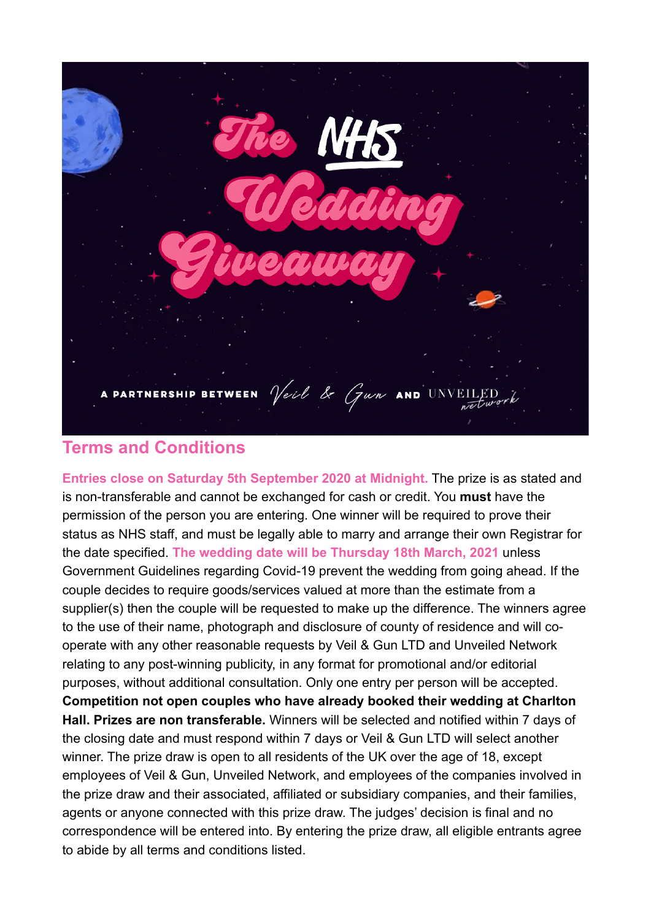

# **Terms and Conditions**

**Entries close on Saturday 5th September 2020 at Midnight.** The prize is as stated and is non-transferable and cannot be exchanged for cash or credit. You **must** have the permission of the person you are entering. One winner will be required to prove their status as NHS staff, and must be legally able to marry and arrange their own Registrar for the date specified. **The wedding date will be Thursday 18th March, 2021** unless Government Guidelines regarding Covid-19 prevent the wedding from going ahead. If the couple decides to require goods/services valued at more than the estimate from a supplier(s) then the couple will be requested to make up the difference. The winners agree to the use of their name, photograph and disclosure of county of residence and will cooperate with any other reasonable requests by Veil & Gun LTD and Unveiled Network relating to any post-winning publicity, in any format for promotional and/or editorial purposes, without additional consultation. Only one entry per person will be accepted. **Competition not open couples who have already booked their wedding at Charlton Hall. Prizes are non transferable.** Winners will be selected and notified within 7 days of the closing date and must respond within 7 days or Veil & Gun LTD will select another winner. The prize draw is open to all residents of the UK over the age of 18, except employees of Veil & Gun, Unveiled Network, and employees of the companies involved in the prize draw and their associated, affiliated or subsidiary companies, and their families, agents or anyone connected with this prize draw. The judges' decision is final and no correspondence will be entered into. By entering the prize draw, all eligible entrants agree to abide by all terms and conditions listed.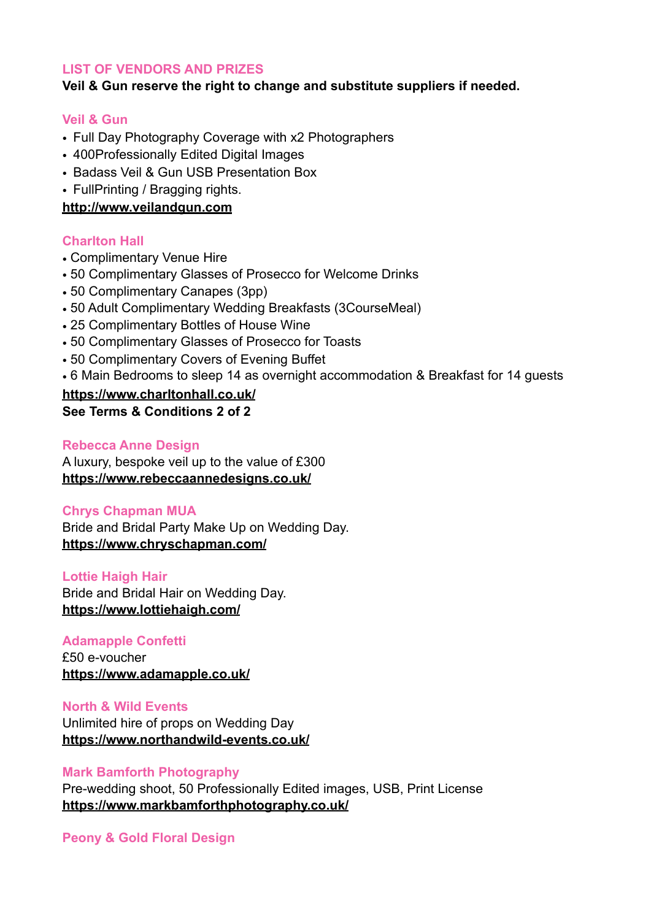# **LIST OF VENDORS AND PRIZES**

# **Veil & Gun reserve the right to change and substitute suppliers if needed.**

### **Veil & Gun**

- Full Day Photography Coverage with x2 Photographers
- 400Professionally Edited Digital Images
- Badass Veil & Gun USB Presentation Box
- FullPrinting / Bragging rights.

# **<http://www.veilandgun.com>**

# **Charlton Hall**

- Complimentary Venue Hire
- 50 Complimentary Glasses of Prosecco for Welcome Drinks
- 50 Complimentary Canapes (3pp)
- 50 Adult Complimentary Wedding Breakfasts (3CourseMeal)
- 25 Complimentary Bottles of House Wine
- 50 Complimentary Glasses of Prosecco for Toasts
- 50 Complimentary Covers of Evening Buffet
- 6 Main Bedrooms to sleep 14 as overnight accommodation & Breakfast for 14 guests

# **<https://www.charltonhall.co.uk/>**

**See Terms & Conditions 2 of 2** 

### **Rebecca Anne Design**

A luxury, bespoke veil up to the value of £300 **<https://www.rebeccaannedesigns.co.uk/>**

### **Chrys Chapman MUA**

Bride and Bridal Party Make Up on Wedding Day. **<https://www.chryschapman.com/>**

### **Lottie Haigh Hair**  Bride and Bridal Hair on Wedding Day. **<https://www.lottiehaigh.com/>**

# **Adamapple Confetti**

£50 e-voucher **<https://www.adamapple.co.uk/>** 

**North & Wild Events**  Unlimited hire of props on Wedding Day **<https://www.northandwild-events.co.uk/>** 

# **Mark Bamforth Photography**

Pre-wedding shoot, 50 Professionally Edited images, USB, Print License **<https://www.markbamforthphotography.co.uk/>** 

# **Peony & Gold Floral Design**